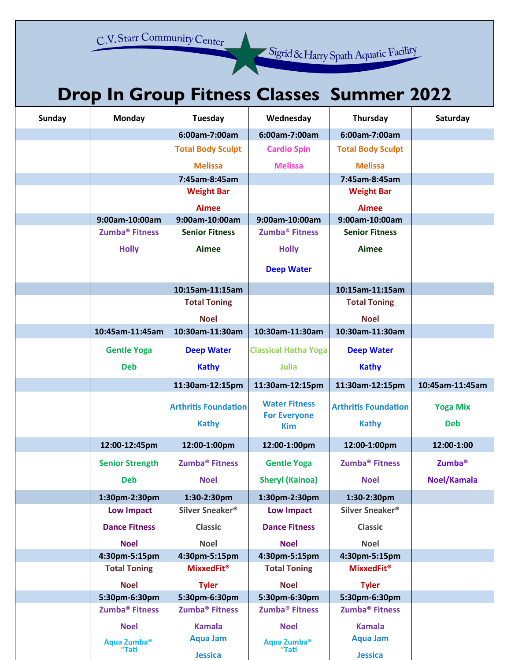C.V. Starr Community Center

Sigrid & Harry Spath Aquatic Facility

## **Drop In Group Fitness Classes Summer 2022**

| <b>Sunday</b> | Monday                     | <b>Tuesday</b>               | Wednesday                         | Thursday                     | Saturday           |
|---------------|----------------------------|------------------------------|-----------------------------------|------------------------------|--------------------|
|               |                            | 6:00am-7:00am                | 6:00am-7:00am                     | 6:00am-7:00am                |                    |
|               |                            | <b>Total Body Sculpt</b>     | <b>Cardio Spin</b>                | <b>Total Body Sculpt</b>     |                    |
|               |                            | <b>Melissa</b>               | <b>Melissa</b>                    | <b>Melissa</b>               |                    |
|               |                            | 7:45am-8:45am                |                                   | 7:45am-8:45am                |                    |
|               |                            | <b>Weight Bar</b>            |                                   | <b>Weight Bar</b>            |                    |
|               |                            | <b>Aimee</b>                 |                                   | <b>Aimee</b>                 |                    |
|               | 9:00am-10:00am             | 9:00am-10:00am               | 9:00am-10:00am                    | 9:00am-10:00am               |                    |
|               | Zumba <sup>®</sup> Fitness | <b>Senior Fitness</b>        | Zumba <sup>®</sup> Fitness        | <b>Senior Fitness</b>        |                    |
|               | <b>Holly</b>               | Aimee                        | <b>Holly</b>                      | Aimee                        |                    |
|               |                            |                              | <b>Deep Water</b>                 |                              |                    |
|               |                            | 10:15am-11:15am              |                                   | 10:15am-11:15am              |                    |
|               |                            | <b>Total Toning</b>          |                                   | <b>Total Toning</b>          |                    |
|               |                            | <b>Noel</b>                  |                                   | <b>Noel</b>                  |                    |
|               | 10:45am-11:45am            | 10:30am-11:30am              | 10:30am-11:30am                   | 10:30am-11:30am              |                    |
|               | <b>Gentle Yoga</b>         | <b>Deep Water</b>            | <b>Classical Hatha Yoga</b>       | <b>Deep Water</b>            |                    |
|               | <b>Deb</b>                 | <b>Kathy</b>                 | <b>Julia</b>                      | <b>Kathy</b>                 |                    |
|               |                            |                              |                                   |                              |                    |
|               |                            | 11:30am-12:15pm              | 11:30am-12:15pm                   | 11:30am-12:15pm              | 10:45am-11:45am    |
|               |                            | <b>Arthritis Foundation</b>  | <b>Water Fitness</b>              | <b>Arthritis Foundation</b>  | <b>Yoga Mix</b>    |
|               |                            | <b>Kathy</b>                 | <b>For Everyone</b><br><b>Kim</b> | <b>Kathy</b>                 | <b>Deb</b>         |
|               | 12:00-12:45pm              | 12:00-1:00pm                 | 12:00-1:00pm                      | 12:00-1:00pm                 | 12:00-1:00         |
|               | <b>Senior Strength</b>     | Zumba <sup>®</sup> Fitness   | <b>Gentle Yoga</b>                | Zumba <sup>®</sup> Fitness   | Zumba <sup>®</sup> |
|               | Deb                        | <b>Noel</b>                  | <b>Sheryl (Kainoa)</b>            | <b>Noel</b>                  | Noel/Kamala        |
|               | 1:30pm-2:30pm              | 1:30-2:30pm                  | 1:30pm-2:30pm                     | 1:30-2:30pm                  |                    |
|               | <b>Low Impact</b>          | Silver Sneaker <sup>®</sup>  | <b>Low Impact</b>                 | Silver Sneaker®              |                    |
|               | <b>Dance Fitness</b>       | <b>Classic</b>               | <b>Dance Fitness</b>              | <b>Classic</b>               |                    |
|               | <b>Noel</b>                | <b>Noel</b>                  | <b>Noel</b>                       | <b>Noel</b>                  |                    |
|               | 4:30pm-5:15pm              | 4:30pm-5:15pm                | 4:30pm-5:15pm                     | 4:30pm-5:15pm                |                    |
|               | <b>Total Toning</b>        | <b>MixxedFit<sup>®</sup></b> | <b>Total Toning</b>               | <b>MixxedFit<sup>®</sup></b> |                    |
|               | <b>Noel</b>                | <b>Tyler</b>                 | <b>Noel</b>                       | <b>Tyler</b>                 |                    |
|               | 5:30pm-6:30pm              | 5:30pm-6:30pm                | 5:30pm-6:30pm                     | 5:30pm-6:30pm                |                    |
|               | Zumba <sup>®</sup> Fitness | Zumba <sup>®</sup> Fitness   | Zumba <sup>®</sup> Fitness        | Zumba <sup>®</sup> Fitness   |                    |
|               | <b>Noel</b>                | <b>Kamala</b>                | <b>Noel</b>                       | <b>Kamala</b>                |                    |
|               | Aqua Zumba®                | <b>Aqua Jam</b>              | Aqua Zumba <sup>®</sup>           | <b>Aqua Jam</b>              |                    |
|               | "Tati                      | <b>Jessica</b>               | "Tati                             | <b>Jessica</b>               |                    |